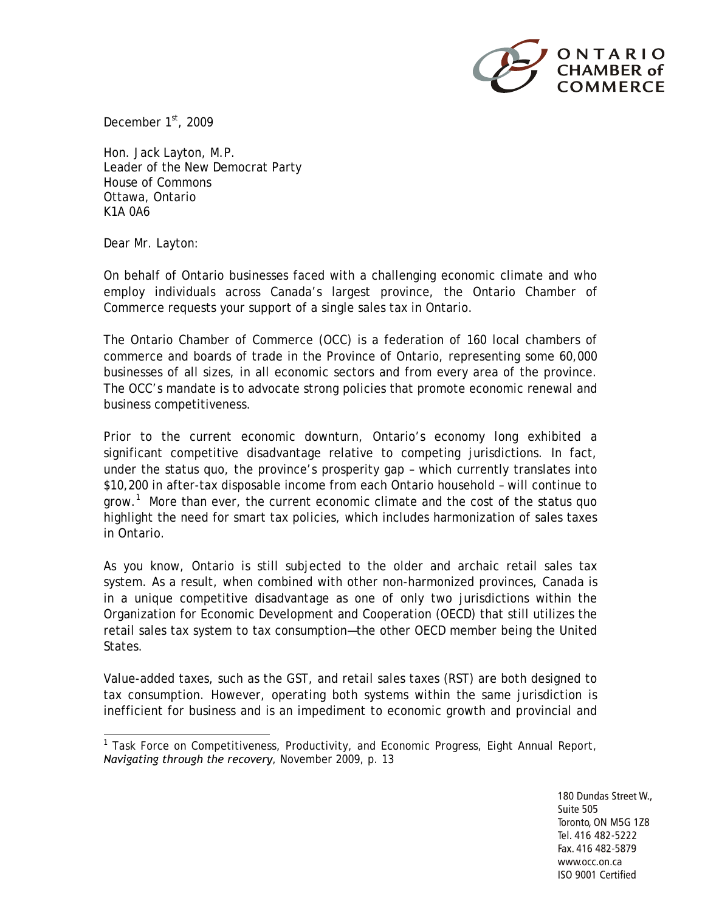

December 1st, 2009

Hon. Jack Layton, M.P. Leader of the New Democrat Party House of Commons Ottawa, Ontario K1A 0A6

Dear Mr. Layton:

On behalf of Ontario businesses faced with a challenging economic climate and who employ individuals across Canada's largest province, the Ontario Chamber of Commerce requests your support of a single sales tax in Ontario.

The Ontario Chamber of Commerce (OCC) is a federation of 160 local chambers of commerce and boards of trade in the Province of Ontario, representing some 60,000 businesses of all sizes, in all economic sectors and from every area of the province. The OCC's mandate is to advocate strong policies that promote economic renewal and business competitiveness.

Prior to the current economic downturn, Ontario's economy long exhibited a significant competitive disadvantage relative to competing jurisdictions. In fact, under the status quo, the province's prosperity gap – which currently translates into \$10,200 in after-tax disposable income from each Ontario household – will continue to grow.<sup>1</sup> More than ever, the current economic climate and the cost of the status quo highlight the need for smart tax policies, which includes harmonization of sales taxes in Ontario.

As you know, Ontario is still subjected to the older and archaic retail sales tax system. As a result, when combined with other non-harmonized provinces, Canada is in a unique competitive disadvantage as one of only two jurisdictions within the Organization for Economic Development and Cooperation (OECD) that still utilizes the retail sales tax system to tax consumption—the other OECD member being the United States.

Value-added taxes, such as the GST, and retail sales taxes (RST) are both designed to tax consumption. However, operating both systems within the same jurisdiction is inefficient for business and is an impediment to economic growth and provincial and

<sup>&</sup>lt;sup>1</sup> Task Force on Competitiveness, Productivity, and Economic Progress, Eight Annual Report, *Navigating through the recovery*, November 2009, p. 13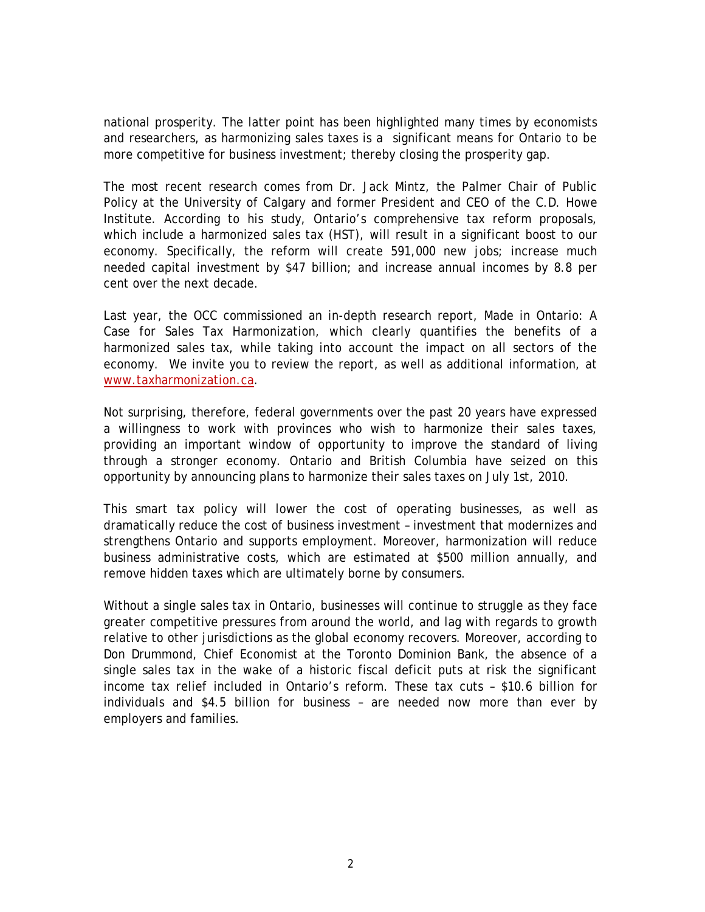national prosperity. The latter point has been highlighted many times by economists and researchers, as harmonizing sales taxes is a significant means for Ontario to be more competitive for business investment; thereby closing the prosperity gap.

The most recent research comes from Dr. Jack Mintz, the Palmer Chair of Public Policy at the University of Calgary and former President and CEO of the C.D. Howe Institute. According to his study, Ontario's comprehensive tax reform proposals, which include a harmonized sales tax (HST), will result in a significant boost to our economy. Specifically, the reform will create 591,000 new jobs; increase much needed capital investment by \$47 billion; and increase annual incomes by 8.8 per cent over the next decade.

Last year, the OCC commissioned an in-depth research report, Made in Ontario: A Case for Sales Tax Harmonization, which clearly quantifies the benefits of a harmonized sales tax, while taking into account the impact on all sectors of the economy. We invite you to review the report, as well as additional information, at [www.taxharmonization.ca.](http://www.taxharmonization.ca/)

Not surprising, therefore, federal governments over the past 20 years have expressed a willingness to work with provinces who wish to harmonize their sales taxes, providing an important window of opportunity to improve the standard of living through a stronger economy. Ontario and British Columbia have seized on this opportunity by announcing plans to harmonize their sales taxes on July 1st, 2010.

This smart tax policy will lower the cost of operating businesses, as well as dramatically reduce the cost of business investment – investment that modernizes and strengthens Ontario and supports employment. Moreover, harmonization will reduce business administrative costs, which are estimated at \$500 million annually, and remove hidden taxes which are ultimately borne by consumers.

Without a single sales tax in Ontario, businesses will continue to struggle as they face greater competitive pressures from around the world, and lag with regards to growth relative to other jurisdictions as the global economy recovers. Moreover, according to Don Drummond, Chief Economist at the Toronto Dominion Bank, the absence of a single sales tax in the wake of a historic fiscal deficit puts at risk the significant income tax relief included in Ontario's reform. These tax cuts – \$10.6 billion for individuals and \$4.5 billion for business – are needed now more than ever by employers and families.